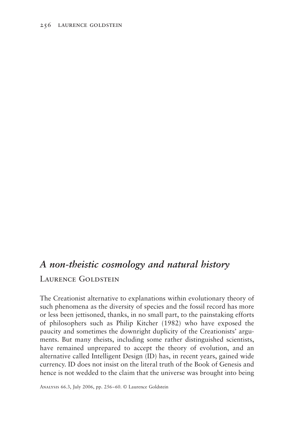## 256 laurence goldstein

## *A non-theistic cosmology and natural history*

## LAURENCE GOLDSTEIN

The Creationist alternative to explanations within evolutionary theory of such phenomena as the diversity of species and the fossil record has more or less been jettisoned, thanks, in no small part, to the painstaking efforts of philosophers such as Philip Kitcher (1982) who have exposed the paucity and sometimes the downright duplicity of the Creationists' arguments. But many theists, including some rather distinguished scientists, have remained unprepared to accept the theory of evolution, and an alternative called Intelligent Design (ID) has, in recent years, gained wide currency. ID does not insist on the literal truth of the Book of Genesis and hence is not wedded to the claim that the universe was brought into being

Analysis 66.3, July 2006, pp. 256–60. © Laurence Goldstein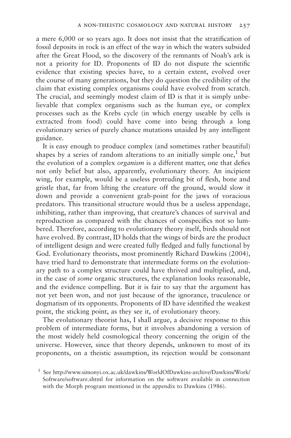a mere 6,000 or so years ago. It does not insist that the stratification of fossil deposits in rock is an effect of the way in which the waters subsided after the Great Flood, so the discovery of the remnants of Noah's ark is not a priority for ID. Proponents of ID do not dispute the scientific evidence that existing species have, to a certain extent, evolved over the course of many generations, but they do question the credibility of the claim that existing complex organisms could have evolved from scratch. The crucial, and seemingly modest claim of ID is that it is simply unbelievable that complex organisms such as the human eye, or complex processes such as the Krebs cycle (in which energy useable by cells is extracted from food) could have come into being through a long evolutionary series of purely chance mutations unaided by any intelligent guidance.

It is easy enough to produce complex (and sometimes rather beautiful) shapes by a series of random alterations to an initially simple one,<sup>1</sup> but the evolution of a complex *organism* is a different matter, one that defies not only belief but also, apparently, evolutionary theory. An incipient wing, for example, would be a useless protruding bit of flesh, bone and gristle that, far from lifting the creature off the ground, would slow it down and provide a convenient grab-point for the jaws of voracious predators. This transitional structure would thus be a useless appendage, inhibiting, rather than improving, that creature's chances of survival and reproduction as compared with the chances of conspecifics not so lumbered. Therefore, according to evolutionary theory itself, birds should not have evolved. By contrast, ID holds that the wings of birds are the product of intelligent design and were created fully fledged and fully functional by God. Evolutionary theorists, most prominently Richard Dawkins (2004), have tried hard to demonstrate that intermediate forms on the evolutionary path to a complex structure could have thrived and multiplied, and, in the case of *some* organic structures, the explanation looks reasonable, and the evidence compelling. But it is fair to say that the argument has not yet been won, and not just because of the ignorance, truculence or dogmatism of its opponents. Proponents of ID have identified the weakest point, the sticking point, as they see it, of evolutionary theory.

The evolutionary theorist has, I shall argue, a decisive response to this problem of intermediate forms, but it involves abandoning a version of the most widely held cosmological theory concerning the origin of the universe. However, since that theory depends, unknown to most of its proponents, on a theistic assumption, its rejection would be consonant

<sup>&</sup>lt;sup>1</sup> See <http://www.simonyi.ox.ac.uk/dawkins/WorldOfDawkins-archive/Dawkins/Work/> Software/software.shtml for information on the software available in connection with the Morph program mentioned in the appendix to Dawkins (1986).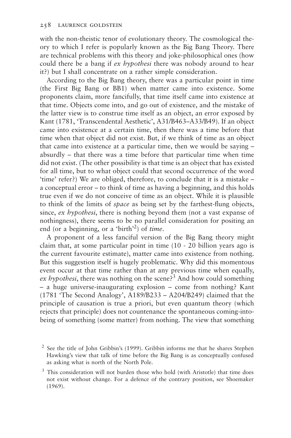with the non-theistic tenor of evolutionary theory. The cosmological theory to which I refer is popularly known as the Big Bang Theory. There are technical problems with this theory and joke-philosophical ones (how could there be a bang if *ex hypothesi* there was nobody around to hear it?) but I shall concentrate on a rather simple consideration.

According to the Big Bang theory, there was a particular point in time (the First Big Bang or BB1) when matter came into existence. Some proponents claim, more fancifully, that time itself came into existence at that time. Objects come into, and go out of existence, and the mistake of the latter view is to construe time itself as an object, an error exposed by Kant (1781, 'Transcendental Aesthetic', A31/B463–A33/B49). If an object came into existence at a certain time, then there was a time before that time when that object did not exist. But, if we think of time as an object that came into existence at a particular time, then we would be saying – absurdly – that there was a time before that particular time when time did not exist. (The other possibility is that time is an object that has existed for all time, but to what object could that second occurrence of the word 'time' refer?) We are obliged, therefore, to conclude that it is a mistake – a conceptual error – to think of time as having a beginning, and this holds true even if we do not conceive of time as an object. While it is plausible to think of the limits of *space* as being set by the farthest-flung objects, since, *ex hypothesi*, there is nothing beyond them (not a vast expanse of nothingness), there seems to be no parallel consideration for positing an end (or a beginning, or a 'birth'2) of *time*.

A proponent of a less fanciful version of the Big Bang theory might claim that, at some particular point in time (10 - 20 billion years ago is the current favourite estimate), matter came into existence from nothing. But this suggestion itself is hugely problematic. Why did this momentous event occur at that time rather than at any previous time when equally, *ex hypothesi*, there was nothing on the scene?<sup>3</sup> And how could something – a huge universe-inaugurating explosion – come from nothing? Kant (1781 'The Second Analogy', A189/B233 – A204/B249) claimed that the principle of causation is true a priori, but even quantum theory (which rejects that principle) does not countenance the spontaneous coming-intobeing of something (some matter) from nothing. The view that something

<sup>2</sup> See the title of John Gribbin's (1999). Gribbin informs me that he shares Stephen Hawking's view that talk of time before the Big Bang is as conceptually confused as asking what is north of the North Pole.

<sup>&</sup>lt;sup>3</sup> This consideration will not burden those who hold (with Aristotle) that time does not exist without change. For a defence of the contrary position, see Shoemaker (1969).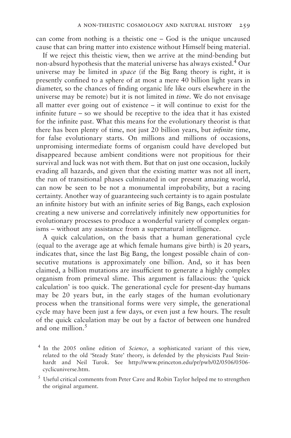can come from nothing is a theistic one – God is the unique uncaused cause that can bring matter into existence without Himself being material.

If we reject this theistic view, then we arrive at the mind-bending but non-absurd hypothesis that the material universe has always existed.<sup>4</sup> Our universe may be limited in *space* (if the Big Bang theory is right, it is presently confined to a sphere of at most a mere 40 billion light years in diameter, so the chances of finding organic life like ours elsewhere in the universe may be remote) but it is not limited in *time*. We do not envisage all matter ever going out of existence – it will continue to exist for the infinite future – so we should be receptive to the idea that it has existed for the infinite past. What this means for the evolutionary theorist is that there has been plenty of time, not just 20 billion years, but *infinite* time, for false evolutionary starts. On millions and millions of occasions, unpromising intermediate forms of organism could have developed but disappeared because ambient conditions were not propitious for their survival and luck was not with them. But that on just one occasion, luckily evading all hazards, and given that the existing matter was not all inert, the run of transitional phases culminated in our present amazing world, can now be seen to be not a monumental improbability, but a racing certainty. Another way of guaranteeing such certainty is to again postulate an infinite history but with an infinite series of Big Bangs, each explosion creating a new universe and correlatively infinitely new opportunities for evolutionary processes to produce a wonderful variety of complex organisms – without any assistance from a supernatural intelligence.

A quick calculation, on the basis that a human generational cycle (equal to the average age at which female humans give birth) is 20 years, indicates that, since the last Big Bang, the longest possible chain of consecutive mutations is approximately one billion. And, so it has been claimed, a billion mutations are insufficient to generate a highly complex organism from primeval slime. This argument is fallacious: the 'quick calculation' is too quick. The generational cycle for present-day humans may be 20 years but, in the early stages of the human evolutionary process when the transitional forms were very simple, the generational cycle may have been just a few days, or even just a few hours. The result of the quick calculation may be out by a factor of between one hundred and one million. $<sup>5</sup>$ </sup>

- <sup>4</sup> In the 2005 online edition of *Science*, a sophisticated variant of this view, related to the old 'Steady State' theory, is defended by the physicists Paul Steinhardt and Neil Turok. See [http://www.princeton.edu/pr/pwb/02/0506/0506](http://www.princeton.edu/pr/pwb/02/0506/0506-) cyclicuniverse.htm.
- $<sup>5</sup>$  Useful critical comments from Peter Cave and Robin Taylor helped me to strengthen</sup> the original argument.